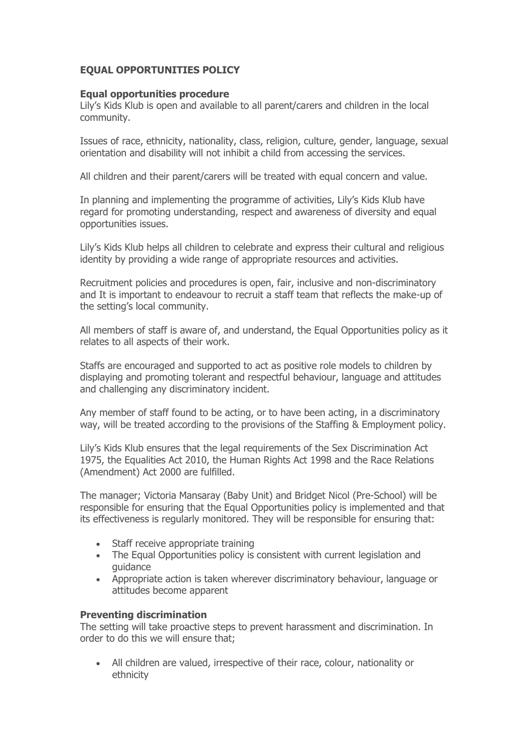## **EQUAL OPPORTUNITIES POLICY**

## **Equal opportunities procedure**

Lily's Kids Klub is open and available to all parent/carers and children in the local community.

Issues of race, ethnicity, nationality, class, religion, culture, gender, language, sexual orientation and disability will not inhibit a child from accessing the services.

All children and their parent/carers will be treated with equal concern and value.

In planning and implementing the programme of activities, Lily's Kids Klub have regard for promoting understanding, respect and awareness of diversity and equal opportunities issues.

Lily's Kids Klub helps all children to celebrate and express their cultural and religious identity by providing a wide range of appropriate resources and activities.

Recruitment policies and procedures is open, fair, inclusive and non-discriminatory and It is important to endeavour to recruit a staff team that reflects the make-up of the setting's local community.

All members of staff is aware of, and understand, the Equal Opportunities policy as it relates to all aspects of their work.

Staffs are encouraged and supported to act as positive role models to children by displaying and promoting tolerant and respectful behaviour, language and attitudes and challenging any discriminatory incident.

Any member of staff found to be acting, or to have been acting, in a discriminatory way, will be treated according to the provisions of the Staffing & Employment policy.

Lily's Kids Klub ensures that the legal requirements of the Sex Discrimination Act 1975, the Equalities Act 2010, the Human Rights Act 1998 and the Race Relations (Amendment) Act 2000 are fulfilled.

The manager; Victoria Mansaray (Baby Unit) and Bridget Nicol (Pre-School) will be responsible for ensuring that the Equal Opportunities policy is implemented and that its effectiveness is regularly monitored. They will be responsible for ensuring that:

- Staff receive appropriate training
- The Equal Opportunities policy is consistent with current legislation and guidance
- Appropriate action is taken wherever discriminatory behaviour, language or attitudes become apparent

## **Preventing discrimination**

The setting will take proactive steps to prevent harassment and discrimination. In order to do this we will ensure that;

 All children are valued, irrespective of their race, colour, nationality or ethnicity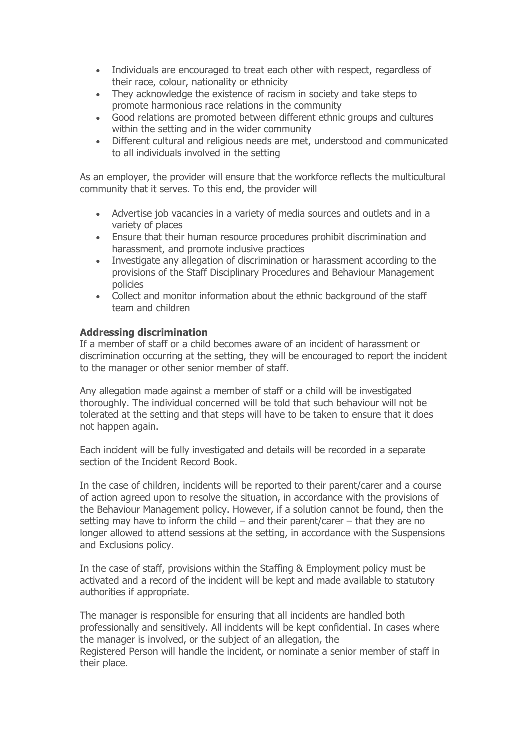- Individuals are encouraged to treat each other with respect, regardless of their race, colour, nationality or ethnicity
- They acknowledge the existence of racism in society and take steps to promote harmonious race relations in the community
- Good relations are promoted between different ethnic groups and cultures within the setting and in the wider community
- Different cultural and religious needs are met, understood and communicated to all individuals involved in the setting

As an employer, the provider will ensure that the workforce reflects the multicultural community that it serves. To this end, the provider will

- Advertise job vacancies in a variety of media sources and outlets and in a variety of places
- Ensure that their human resource procedures prohibit discrimination and harassment, and promote inclusive practices
- Investigate any allegation of discrimination or harassment according to the provisions of the Staff Disciplinary Procedures and Behaviour Management policies
- Collect and monitor information about the ethnic background of the staff team and children

## **Addressing discrimination**

If a member of staff or a child becomes aware of an incident of harassment or discrimination occurring at the setting, they will be encouraged to report the incident to the manager or other senior member of staff.

Any allegation made against a member of staff or a child will be investigated thoroughly. The individual concerned will be told that such behaviour will not be tolerated at the setting and that steps will have to be taken to ensure that it does not happen again.

Each incident will be fully investigated and details will be recorded in a separate section of the Incident Record Book.

In the case of children, incidents will be reported to their parent/carer and a course of action agreed upon to resolve the situation, in accordance with the provisions of the Behaviour Management policy. However, if a solution cannot be found, then the setting may have to inform the child – and their parent/carer – that they are no longer allowed to attend sessions at the setting, in accordance with the Suspensions and Exclusions policy.

In the case of staff, provisions within the Staffing & Employment policy must be activated and a record of the incident will be kept and made available to statutory authorities if appropriate.

The manager is responsible for ensuring that all incidents are handled both professionally and sensitively. All incidents will be kept confidential. In cases where the manager is involved, or the subject of an allegation, the Registered Person will handle the incident, or nominate a senior member of staff in their place.